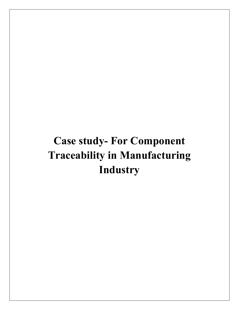# Case study- For Component Traceability in Manufacturing Industry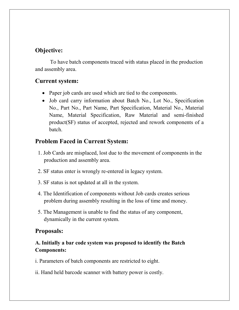# Objective:

 To have batch components traced with status placed in the production and assembly area.

## Current system:

- Paper job cards are used which are tied to the components.
- Job card carry information about Batch No., Lot No., Specification No., Part No., Part Name, Part Specification, Material No., Material Name, Material Specification, Raw Material and semi-finished product(SF) status of accepted, rejected and rework components of a batch.

## Problem Faced in Current System:

- 1. Job Cards are misplaced, lost due to the movement of components in the production and assembly area.
- 2. SF status enter is wrongly re-entered in legacy system.
- 3. SF status is not updated at all in the system.
- 4. The Identification of components without Job cards creates serious problem during assembly resulting in the loss of time and money.
- 5. The Management is unable to find the status of any component, dynamically in the current system.

## Proposals:

## A. Initially a bar code system was proposed to identify the Batch Components:

i. Parameters of batch components are restricted to eight.

ii. Hand held barcode scanner with battery power is costly.